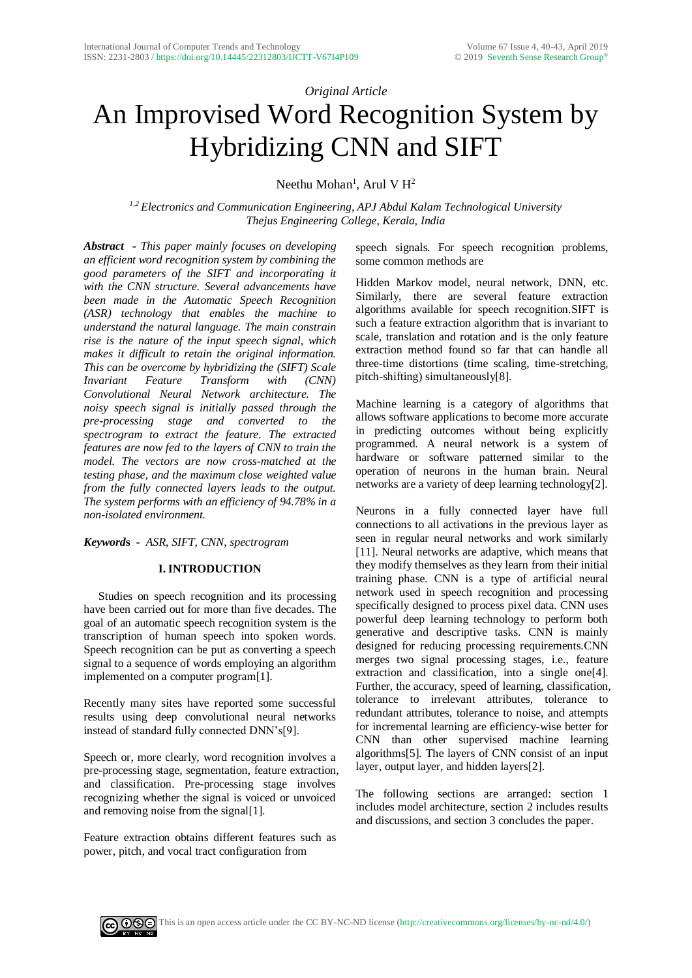## *Original Article*

# An Improvised Word Recognition System by Hybridizing CNN and SIFT

Neethu Mohan<sup>1</sup>, Arul V  $H^2$ 

*1,2 Electronics and Communication Engineering, APJ Abdul Kalam Technological University Thejus Engineering College, Kerala, India*

*Abstract - This paper mainly focuses on developing an efficient word recognition system by combining the good parameters of the SIFT and incorporating it with the CNN structure. Several advancements have been made in the Automatic Speech Recognition (ASR) technology that enables the machine to understand the natural language. The main constrain rise is the nature of the input speech signal, which makes it difficult to retain the original information. This can be overcome by hybridizing the (SIFT) Scale Invariant Feature Transform with (CNN) Convolutional Neural Network architecture. The noisy speech signal is initially passed through the pre-processing stage and converted to the spectrogram to extract the feature. The extracted features are now fed to the layers of CNN to train the model. The vectors are now cross-matched at the testing phase, and the maximum close weighted value from the fully connected layers leads to the output. The system performs with an efficiency of 94.78% in a non-isolated environment.*

*Keyword***s** *- ASR*, *SIFT, CNN*, *spectrogram*

## **I. INTRODUCTION**

 Studies on speech recognition and its processing have been carried out for more than five decades. The goal of an automatic speech recognition system is the transcription of human speech into spoken words. Speech recognition can be put as converting a speech signal to a sequence of words employing an algorithm implemented on a computer program[1].

Recently many sites have reported some successful results using deep convolutional neural networks instead of standard fully connected DNN's[9].

Speech or, more clearly, word recognition involves a pre-processing stage, segmentation, feature extraction, and classification. Pre-processing stage involves recognizing whether the signal is voiced or unvoiced and removing noise from the signal[1].

Feature extraction obtains different features such as power, pitch, and vocal tract configuration from

speech signals. For speech recognition problems, some common methods are

Hidden Markov model, neural network, DNN, etc. Similarly, there are several feature extraction algorithms available for speech recognition.SIFT is such a feature extraction algorithm that is invariant to scale, translation and rotation and is the only feature extraction method found so far that can handle all three-time distortions (time scaling, time-stretching, pitch-shifting) simultaneously[8].

Machine learning is a category of algorithms that allows software applications to become more accurate in predicting outcomes without being explicitly programmed. A neural network is a system of hardware or software patterned similar to the operation of neurons in the human brain. Neural networks are a variety of deep learning technology[2].

Neurons in a fully connected layer have full connections to all activations in the previous layer as seen in regular neural networks and work similarly [11]. Neural networks are adaptive, which means that they modify themselves as they learn from their initial training phase. CNN is a type of artificial neural network used in speech recognition and processing specifically designed to process pixel data. CNN uses powerful deep learning technology to perform both generative and descriptive tasks. CNN is mainly designed for reducing processing requirements.CNN merges two signal processing stages, i.e., feature extraction and classification, into a single one[4]. Further, the accuracy, speed of learning, classification, tolerance to irrelevant attributes, tolerance to redundant attributes, tolerance to noise, and attempts for incremental learning are efficiency-wise better for CNN than other supervised machine learning algorithms[5]. The layers of CNN consist of an input layer, output layer, and hidden layers[2].

The following sections are arranged: section 1 includes model architecture, section 2 includes results and discussions, and section 3 concludes the paper.

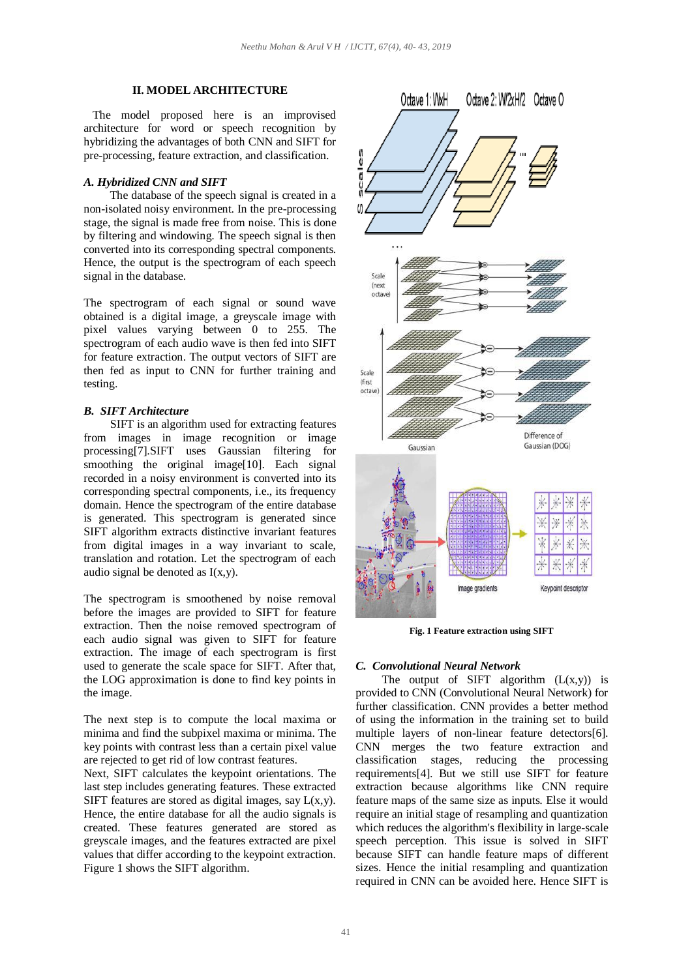#### **II. MODEL ARCHITECTURE**

 The model proposed here is an improvised architecture for word or speech recognition by hybridizing the advantages of both CNN and SIFT for pre-processing, feature extraction, and classification.

#### *A. Hybridized CNN and SIFT*

 The database of the speech signal is created in a non-isolated noisy environment. In the pre-processing stage, the signal is made free from noise. This is done by filtering and windowing. The speech signal is then converted into its corresponding spectral components. Hence, the output is the spectrogram of each speech signal in the database.

The spectrogram of each signal or sound wave obtained is a digital image, a greyscale image with pixel values varying between 0 to 255. The spectrogram of each audio wave is then fed into SIFT for feature extraction. The output vectors of SIFT are then fed as input to CNN for further training and testing.

#### *B. SIFT Architecture*

 SIFT is an algorithm used for extracting features from images in image recognition or image processing[7].SIFT uses Gaussian filtering for smoothing the original image[10]. Each signal recorded in a noisy environment is converted into its corresponding spectral components, i.e., its frequency domain. Hence the spectrogram of the entire database is generated. This spectrogram is generated since SIFT algorithm extracts distinctive invariant features from digital images in a way invariant to scale, translation and rotation. Let the spectrogram of each audio signal be denoted as  $I(x,y)$ .

The spectrogram is smoothened by noise removal before the images are provided to SIFT for feature extraction. Then the noise removed spectrogram of each audio signal was given to SIFT for feature extraction. The image of each spectrogram is first used to generate the scale space for SIFT. After that, the LOG approximation is done to find key points in the image.

The next step is to compute the local maxima or minima and find the subpixel maxima or minima. The key points with contrast less than a certain pixel value are rejected to get rid of low contrast features.

Next, SIFT calculates the keypoint orientations. The last step includes generating features. These extracted SIFT features are stored as digital images, say  $L(x,y)$ . Hence, the entire database for all the audio signals is created. These features generated are stored as greyscale images, and the features extracted are pixel values that differ according to the keypoint extraction. Figure 1 shows the SIFT algorithm.



**Fig. 1 Feature extraction using SIFT**

#### *C. Convolutional Neural Network*

The output of SIFT algorithm  $(L(x,y))$  is provided to CNN (Convolutional Neural Network) for further classification. CNN provides a better method of using the information in the training set to build multiple layers of non-linear feature detectors[6]. CNN merges the two feature extraction and classification stages, reducing the processing requirements[4]. But we still use SIFT for feature extraction because algorithms like CNN require feature maps of the same size as inputs. Else it would require an initial stage of resampling and quantization which reduces the algorithm's flexibility in large-scale speech perception. This issue is solved in SIFT because SIFT can handle feature maps of different sizes. Hence the initial resampling and quantization required in CNN can be avoided here. Hence SIFT is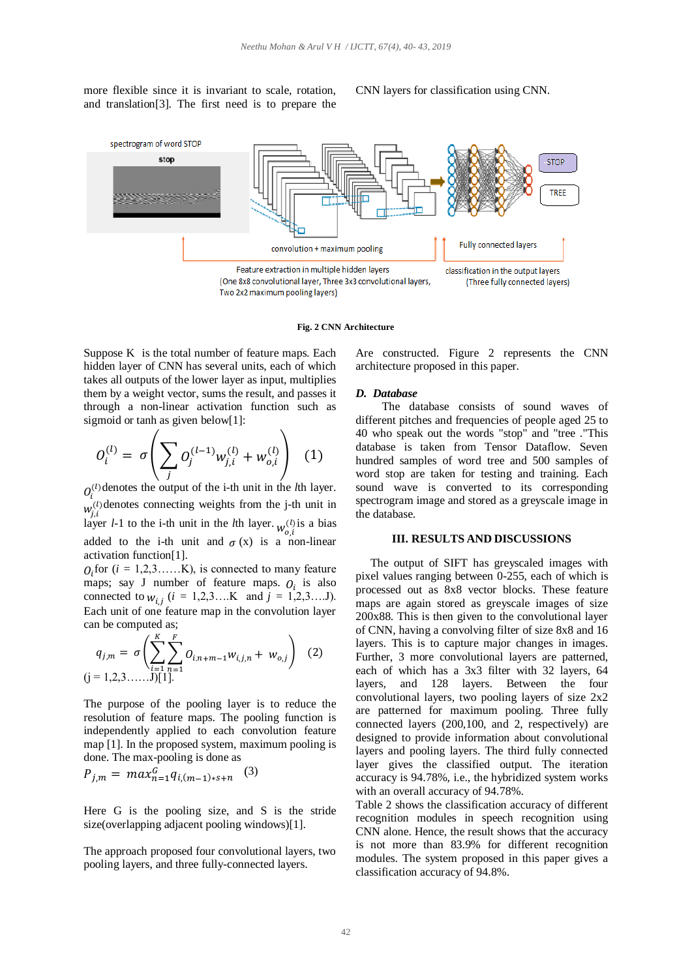more flexible since it is invariant to scale, rotation, and translation[3]. The first need is to prepare the CNN layers for classification using CNN.



#### **Fig. 2 CNN Architecture**

Suppose K is the total number of feature maps. Each hidden layer of CNN has several units, each of which takes all outputs of the lower layer as input, multiplies them by a weight vector, sums the result, and passes it through a non-linear activation function such as sigmoid or tanh as given below[1]:

$$
O_i^{(l)} = \sigma \left( \sum_j O_j^{(l-1)} w_{j,i}^{(l)} + w_{o,i}^{(l)} \right) \tag{1}
$$

 $O_i^{(l)}$  denotes the output of the i-th unit in the *l*th layer.  $w_{j,i}^{(l)}$  denotes connecting weights from the j-th unit in layer *l*-1 to the i-th unit in the *l*th layer.  $w_{o,i}^{(l)}$  is a bias added to the i-th unit and  $\sigma(x)$  is a non-linear activation function[1].

 $O_i$  for ( $i = 1, 2, 3, \dots, K$ ), is connected to many feature maps; say J number of feature maps.  $O_i$  is also connected to  $w_{i,j}$  ( $i = 1,2,3,...K$  and  $j = 1,2,3,...J$ ). Each unit of one feature map in the convolution layer can be computed as;

$$
q_{j,m} = \sigma \left( \sum_{\substack{i=1 \ i>1}}^K \sum_{n=1}^F O_{i,n+m-1} w_{i,j,n} + w_{o,j} \right) \tag{2}
$$
  
(j = 1,2,3......j[1].

The purpose of the pooling layer is to reduce the resolution of feature maps. The pooling function is independently applied to each convolution feature map [1]. In the proposed system, maximum pooling is done. The max-pooling is done as

$$
P_{j,m} = \max_{n=1}^{G} q_{i,(m-1)*s+n} \quad (3)
$$

Here G is the pooling size, and S is the stride size(overlapping adjacent pooling windows)[1].

The approach proposed four convolutional layers, two pooling layers, and three fully-connected layers.

Are constructed. Figure 2 represents the CNN architecture proposed in this paper.

#### *D. Database*

 The database consists of sound waves of different pitches and frequencies of people aged 25 to 40 who speak out the words "stop" and "tree ."This database is taken from Tensor Dataflow. Seven hundred samples of word tree and 500 samples of word stop are taken for testing and training. Each sound wave is converted to its corresponding spectrogram image and stored as a greyscale image in the database.

#### **III. RESULTS AND DISCUSSIONS**

 The output of SIFT has greyscaled images with pixel values ranging between 0-255, each of which is processed out as 8x8 vector blocks. These feature maps are again stored as greyscale images of size 200x88. This is then given to the convolutional layer of CNN, having a convolving filter of size 8x8 and 16 layers. This is to capture major changes in images. Further, 3 more convolutional layers are patterned, each of which has a 3x3 filter with 32 layers, 64 layers, and 128 layers. Between the four convolutional layers, two pooling layers of size 2x2 are patterned for maximum pooling. Three fully connected layers (200,100, and 2, respectively) are designed to provide information about convolutional layers and pooling layers. The third fully connected layer gives the classified output. The iteration accuracy is 94.78%, i.e., the hybridized system works with an overall accuracy of 94.78%.

Table 2 shows the classification accuracy of different recognition modules in speech recognition using CNN alone. Hence, the result shows that the accuracy is not more than 83.9% for different recognition modules. The system proposed in this paper gives a classification accuracy of 94.8%.